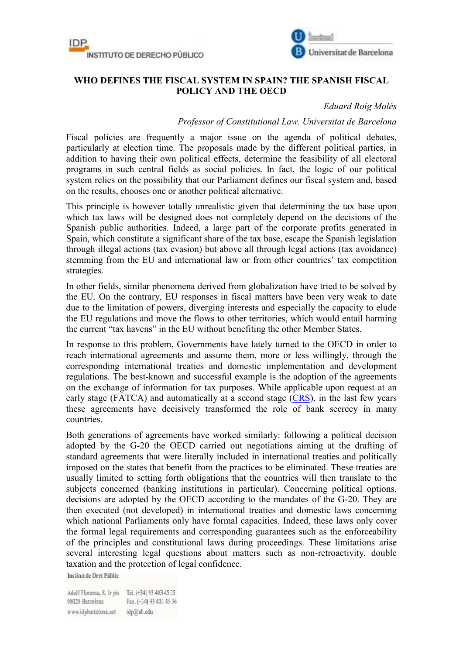



## **WHO DEFINES THE FISCAL SYSTEM IN SPAIN? THE SPANISH FISCAL POLICY AND THE OECD**

## *Eduard Roig Molés*

## *Professor of Constitutional Law. Universitat de Barcelona*

Fiscal policies are frequently a major issue on the agenda of political debates, particularly at election time. The proposals made by the different political parties, in addition to having their own political effects, determine the feasibility of all electoral programs in such central fields as social policies. In fact, the logic of our political system relies on the possibility that our Parliament defines our fiscal system and, based on the results, chooses one or another political alternative.

This principle is however totally unrealistic given that determining the tax base upon which tax laws will be designed does not completely depend on the decisions of the Spanish public authorities. Indeed, a large part of the corporate profits generated in Spain, which constitute a significant share of the tax base, escape the Spanish legislation through illegal actions (tax evasion) but above all through legal actions (tax avoidance) stemming from the EU and international law or from other countries' tax competition strategies.

In other fields, similar phenomena derived from globalization have tried to be solved by the EU. On the contrary, EU responses in fiscal matters have been very weak to date due to the limitation of powers, diverging interests and especially the capacity to elude the EU regulations and move the flows to other territories, which would entail harming the current "tax havens" in the EU without benefiting the other Member States.

In response to this problem, Governments have lately turned to the OECD in order to reach international agreements and assume them, more or less willingly, through the corresponding international treaties and domestic implementation and development regulations. The best-known and successful example is the adoption of the agreements on the exchange of information for tax purposes. While applicable upon request at an early stage (FATCA) and automatically at a second stage (CRS), in the last few years these agreements have decisively transformed the role of bank secrecy in many countries.

Both generations of agreements have worked similarly: following a political decision adopted by the G-20 the OECD carried out negotiations aiming at the drafting of standard agreements that were literally included in international treaties and politically imposed on the states that benefit from the practices to be eliminated. These treaties are usually limited to setting forth obligations that the countries will then translate to the subjects concerned (banking institutions in particular). Concerning political options, decisions are adopted by the OECD according to the mandates of the G-20. They are then executed (not developed) in international treaties and domestic laws concerning which national Parliaments only have formal capacities. Indeed, these laws only cover the formal legal requirements and corresponding guarantees such as the enforceability of the principles and constitutional laws during proceedings. These limitations arise several interesting legal questions about matters such as non-retroactivity, double taxation and the protection of legal confidence.

**Institut de Dret Públic** 

Adolf Florensa, 8, Ir pis Tel. (+34) 93 403 45 35 08028 Barcelona Fax. (+34) 93 403 45 36 www.idpbarcelona.net idp@ub.edu